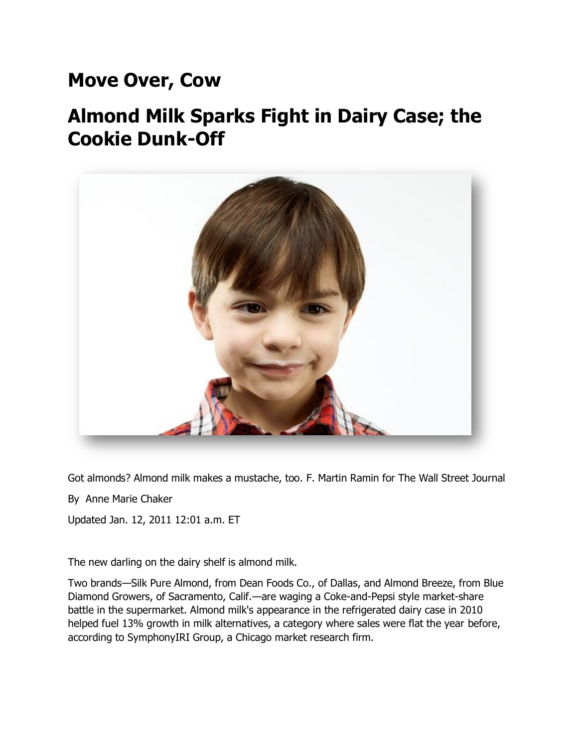## **Move Over, Cow**

# **Almond Milk Sparks Fight in Dairy Case; the Cookie Dunk-Off**



Got almonds? Almond milk makes a mustache, too. F. Martin Ramin for The Wall Street Journal

By Anne Marie Chaker

Updated Jan. 12, 2011 12:01 a.m. ET

The new darling on the dairy shelf is almond milk.

Two brands—Silk Pure Almond, from Dean Foods Co., of Dallas, and Almond Breeze, from Blue Diamond Growers, of Sacramento, Calif.—are waging a Coke-and-Pepsi style market-share battle in the supermarket. Almond milk's appearance in the refrigerated dairy case in 2010 helped fuel 13% growth in milk alternatives, a category where sales were flat the year before, according to SymphonyIRI Group, a Chicago market research firm.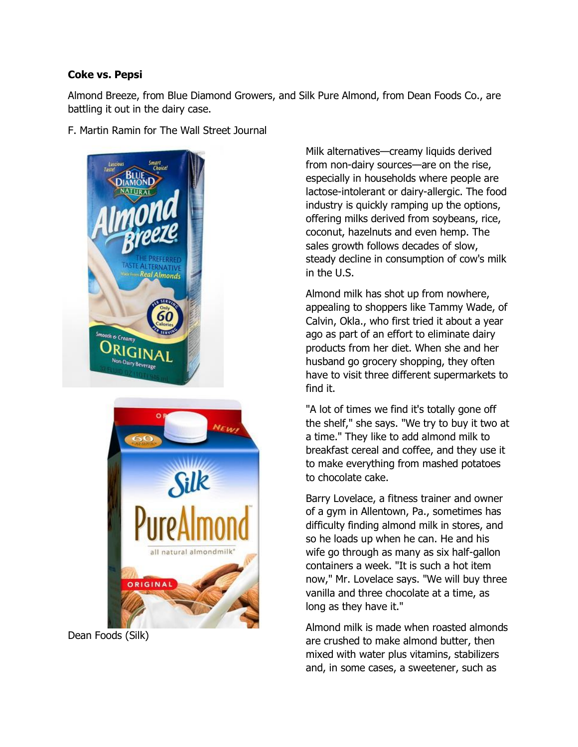#### **Coke vs. Pepsi**

Almond Breeze, from Blue Diamond Growers, and Silk Pure Almond, from Dean Foods Co., are battling it out in the dairy case.

F. Martin Ramin for The Wall Street Journal





Dean Foods (Silk)

Milk alternatives—creamy liquids derived from non-dairy sources—are on the rise, especially in households where people are lactose-intolerant or dairy-allergic. The food industry is quickly ramping up the options, offering milks derived from soybeans, rice, coconut, hazelnuts and even hemp. The sales growth follows decades of slow, steady decline in consumption of cow's milk in the U.S.

Almond milk has shot up from nowhere, appealing to shoppers like Tammy Wade, of Calvin, Okla., who first tried it about a year ago as part of an effort to eliminate dairy products from her diet. When she and her husband go grocery shopping, they often have to visit three different supermarkets to find it.

"A lot of times we find it's totally gone off the shelf," she says. "We try to buy it two at a time." They like to add almond milk to breakfast cereal and coffee, and they use it to make everything from mashed potatoes to chocolate cake.

Barry Lovelace, a fitness trainer and owner of a gym in Allentown, Pa., sometimes has difficulty finding almond milk in stores, and so he loads up when he can. He and his wife go through as many as six half-gallon containers a week. "It is such a hot item now," Mr. Lovelace says. "We will buy three vanilla and three chocolate at a time, as long as they have it."

Almond milk is made when roasted almonds are crushed to make almond butter, then mixed with water plus vitamins, stabilizers and, in some cases, a sweetener, such as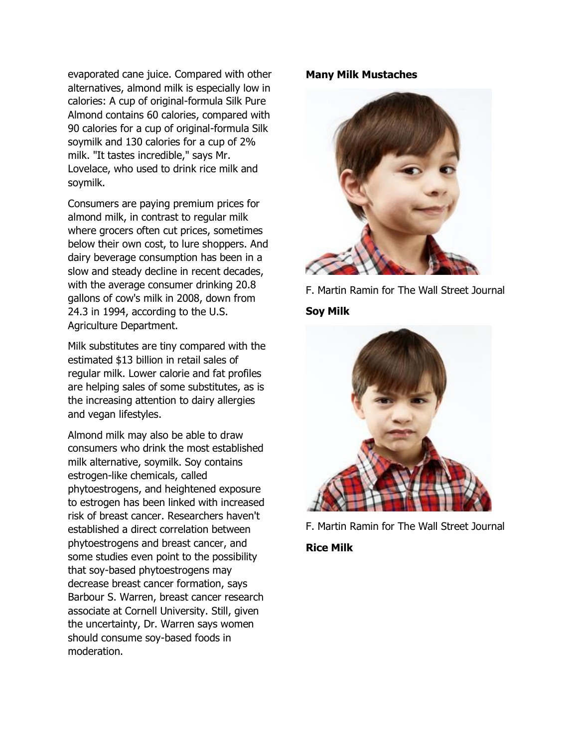evaporated cane juice. Compared with other alternatives, almond milk is especially low in calories: A cup of original-formula Silk Pure Almond contains 60 calories, compared with 90 calories for a cup of original-formula Silk soymilk and 130 calories for a cup of 2% milk. "It tastes incredible," says Mr. Lovelace, who used to drink rice milk and soymilk.

Consumers are paying premium prices for almond milk, in contrast to regular milk where grocers often cut prices, sometimes below their own cost, to lure shoppers. And dairy beverage consumption has been in a slow and steady decline in recent decades, with the average consumer drinking 20.8 gallons of cow's milk in 2008, down from 24.3 in 1994, according to the U.S. Agriculture Department.

Milk substitutes are tiny compared with the estimated \$13 billion in retail sales of regular milk. Lower calorie and fat profiles are helping sales of some substitutes, as is the increasing attention to dairy allergies and vegan lifestyles.

Almond milk may also be able to draw consumers who drink the most established milk alternative, soymilk. Soy contains estrogen-like chemicals, called phytoestrogens, and heightened exposure to estrogen has been linked with increased risk of breast cancer. Researchers haven't established a direct correlation between phytoestrogens and breast cancer, and some studies even point to the possibility that soy-based phytoestrogens may decrease breast cancer formation, says Barbour S. Warren, breast cancer research associate at Cornell University. Still, given the uncertainty, Dr. Warren says women should consume soy-based foods in moderation.

#### **Many Milk Mustaches**



F. Martin Ramin for The Wall Street Journal **Soy Milk**



F. Martin Ramin for The Wall Street Journal

## **Rice Milk**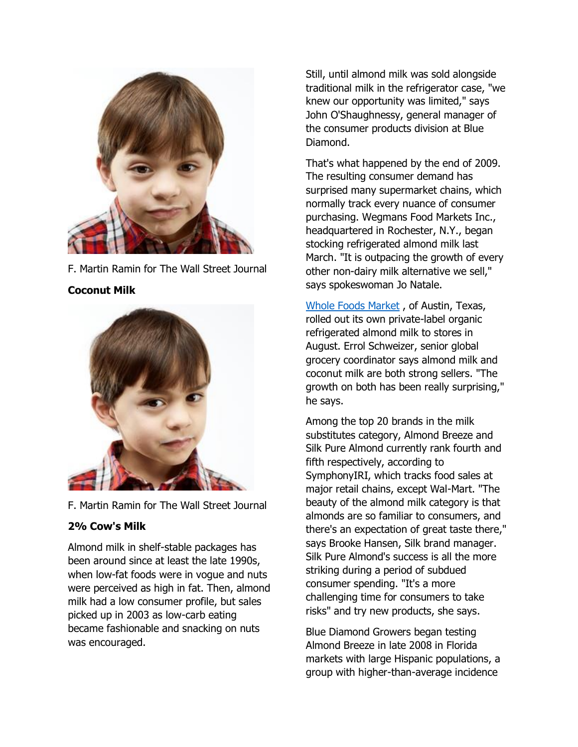

F. Martin Ramin for The Wall Street Journal

## **Coconut Milk**



F. Martin Ramin for The Wall Street Journal

## **2% Cow's Milk**

Almond milk in shelf-stable packages has been around since at least the late 1990s, when low-fat foods were in vogue and nuts were perceived as high in fat. Then, almond milk had a low consumer profile, but sales picked up in 2003 as low-carb eating became fashionable and snacking on nuts was encouraged.

Still, until almond milk was sold alongside traditional milk in the refrigerator case, "we knew our opportunity was limited," says John O'Shaughnessy, general manager of the consumer products division at Blue Diamond.

That's what happened by the end of 2009. The resulting consumer demand has surprised many supermarket chains, which normally track every nuance of consumer purchasing. Wegmans Food Markets Inc., headquartered in Rochester, N.Y., began stocking refrigerated almond milk last March. "It is outpacing the growth of every other non-dairy milk alternative we sell," says spokeswoman Jo Natale.

[Whole Foods Market](http://quotes.wsj.com/WFMI), of Austin, Texas, rolled out its own private-label organic refrigerated almond milk to stores in August. Errol Schweizer, senior global grocery coordinator says almond milk and coconut milk are both strong sellers. "The growth on both has been really surprising," he says.

Among the top 20 brands in the milk substitutes category, Almond Breeze and Silk Pure Almond currently rank fourth and fifth respectively, according to SymphonyIRI, which tracks food sales at major retail chains, except Wal-Mart. "The beauty of the almond milk category is that almonds are so familiar to consumers, and there's an expectation of great taste there," says Brooke Hansen, Silk brand manager. Silk Pure Almond's success is all the more striking during a period of subdued consumer spending. "It's a more challenging time for consumers to take risks" and try new products, she says.

Blue Diamond Growers began testing Almond Breeze in late 2008 in Florida markets with large Hispanic populations, a group with higher-than-average incidence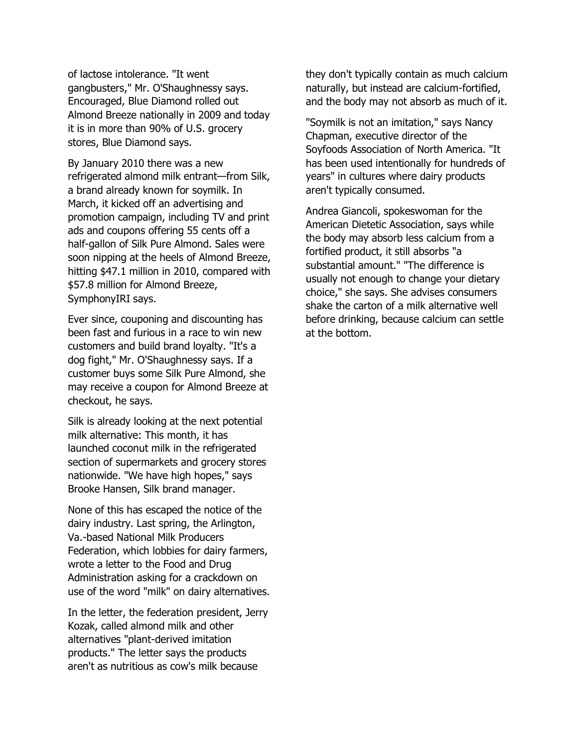of lactose intolerance. "It went gangbusters," Mr. O'Shaughnessy says. Encouraged, Blue Diamond rolled out Almond Breeze nationally in 2009 and today it is in more than 90% of U.S. grocery stores, Blue Diamond says.

By January 2010 there was a new refrigerated almond milk entrant—from Silk, a brand already known for soymilk. In March, it kicked off an advertising and promotion campaign, including TV and print ads and coupons offering 55 cents off a half-gallon of Silk Pure Almond. Sales were soon nipping at the heels of Almond Breeze, hitting \$47.1 million in 2010, compared with \$57.8 million for Almond Breeze, SymphonyIRI says.

Ever since, couponing and discounting has been fast and furious in a race to win new customers and build brand loyalty. "It's a dog fight," Mr. O'Shaughnessy says. If a customer buys some Silk Pure Almond, she may receive a coupon for Almond Breeze at checkout, he says.

Silk is already looking at the next potential milk alternative: This month, it has launched coconut milk in the refrigerated section of supermarkets and grocery stores nationwide. "We have high hopes," says Brooke Hansen, Silk brand manager.

None of this has escaped the notice of the dairy industry. Last spring, the Arlington, Va.-based National Milk Producers Federation, which lobbies for dairy farmers, wrote a letter to the Food and Drug Administration asking for a crackdown on use of the word "milk" on dairy alternatives.

In the letter, the federation president, Jerry Kozak, called almond milk and other alternatives "plant-derived imitation products." The letter says the products aren't as nutritious as cow's milk because

they don't typically contain as much calcium naturally, but instead are calcium-fortified, and the body may not absorb as much of it.

"Soymilk is not an imitation," says Nancy Chapman, executive director of the Soyfoods Association of North America. "It has been used intentionally for hundreds of years" in cultures where dairy products aren't typically consumed.

Andrea Giancoli, spokeswoman for the American Dietetic Association, says while the body may absorb less calcium from a fortified product, it still absorbs "a substantial amount." "The difference is usually not enough to change your dietary choice," she says. She advises consumers shake the carton of a milk alternative well before drinking, because calcium can settle at the bottom.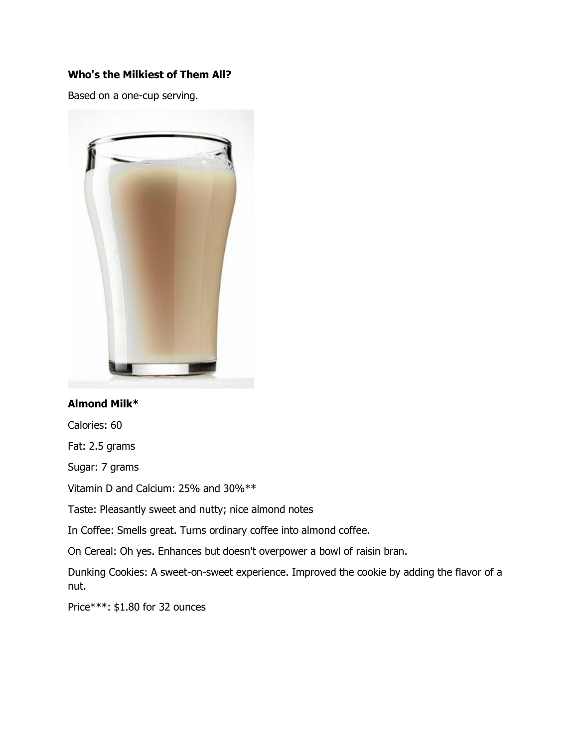## **Who's the Milkiest of Them All?**

Based on a one-cup serving.



#### **Almond Milk\***

Calories: 60

Fat: 2.5 grams

Sugar: 7 grams

Vitamin D and Calcium: 25% and 30%\*\*

Taste: Pleasantly sweet and nutty; nice almond notes

In Coffee: Smells great. Turns ordinary coffee into almond coffee.

On Cereal: Oh yes. Enhances but doesn't overpower a bowl of raisin bran.

Dunking Cookies: A sweet-on-sweet experience. Improved the cookie by adding the flavor of a nut.

Price\*\*\*: \$1.80 for 32 ounces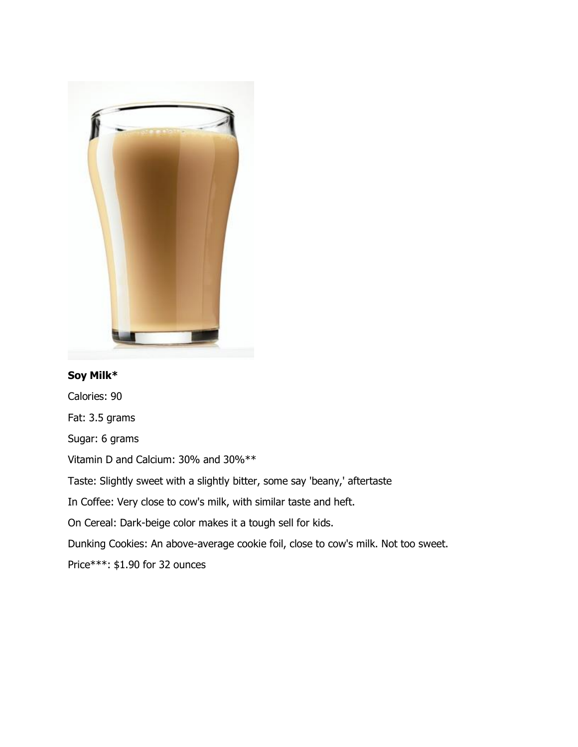

## **Soy Milk\***

Calories: 90 Fat: 3.5 grams Sugar: 6 grams Vitamin D and Calcium: 30% and 30%\*\* Taste: Slightly sweet with a slightly bitter, some say 'beany,' aftertaste In Coffee: Very close to cow's milk, with similar taste and heft. On Cereal: Dark-beige color makes it a tough sell for kids. Dunking Cookies: An above-average cookie foil, close to cow's milk. Not too sweet. Price\*\*\*: \$1.90 for 32 ounces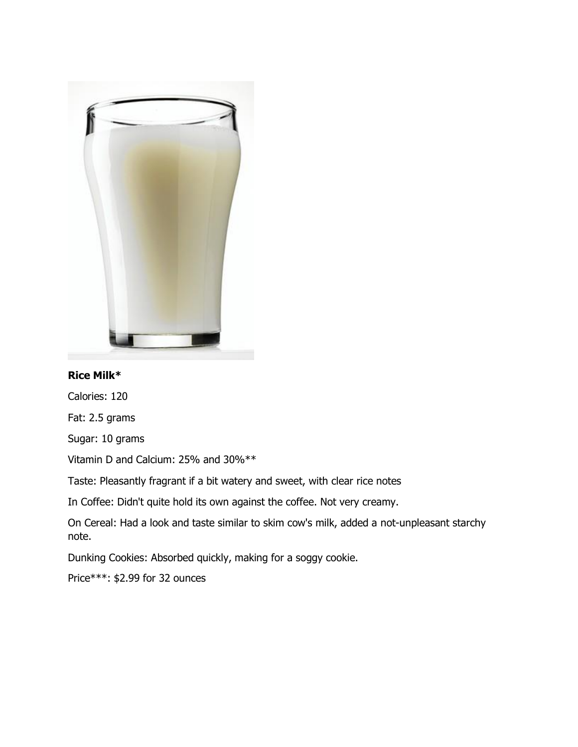

#### **Rice Milk\***

Calories: 120

Fat: 2.5 grams

Sugar: 10 grams

Vitamin D and Calcium: 25% and 30%\*\*

Taste: Pleasantly fragrant if a bit watery and sweet, with clear rice notes

In Coffee: Didn't quite hold its own against the coffee. Not very creamy.

On Cereal: Had a look and taste similar to skim cow's milk, added a not-unpleasant starchy note.

Dunking Cookies: Absorbed quickly, making for a soggy cookie.

Price\*\*\*: \$2.99 for 32 ounces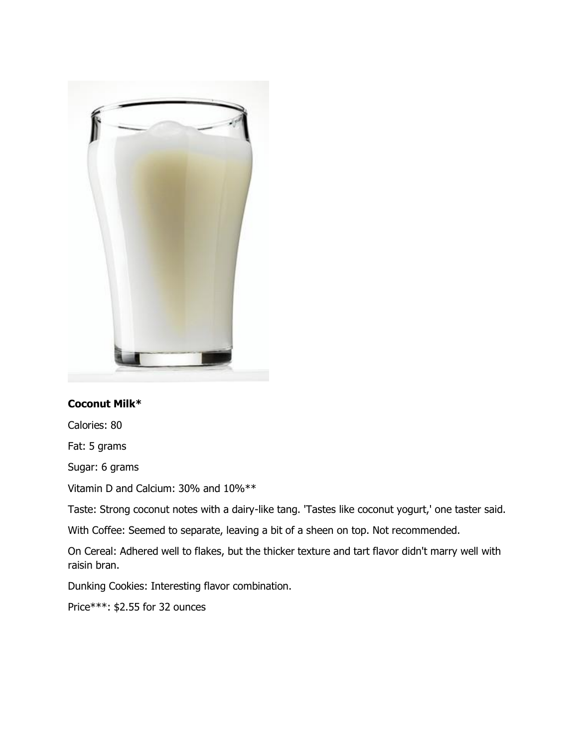

#### **Coconut Milk\***

Calories: 80

Fat: 5 grams

Sugar: 6 grams

Vitamin D and Calcium: 30% and 10%\*\*

Taste: Strong coconut notes with a dairy-like tang. 'Tastes like coconut yogurt,' one taster said.

With Coffee: Seemed to separate, leaving a bit of a sheen on top. Not recommended.

On Cereal: Adhered well to flakes, but the thicker texture and tart flavor didn't marry well with raisin bran.

Dunking Cookies: Interesting flavor combination.

Price\*\*\*: \$2.55 for 32 ounces